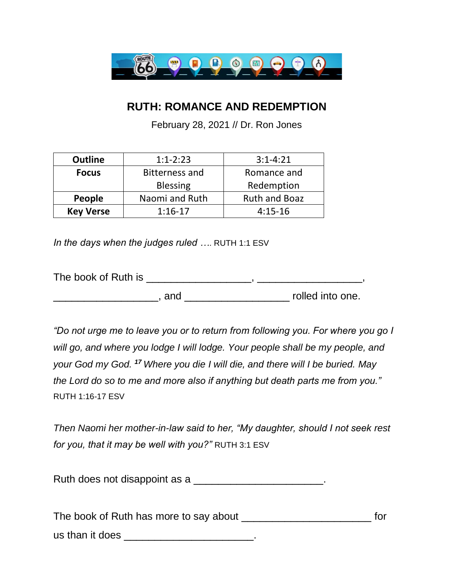

## **RUTH: ROMANCE AND REDEMPTION**

February 28, 2021 // Dr. Ron Jones

| <b>Outline</b>   | $1:1-2:23$            | $3:1 - 4:21$         |
|------------------|-----------------------|----------------------|
| <b>Focus</b>     | <b>Bitterness and</b> | Romance and          |
|                  | <b>Blessing</b>       | Redemption           |
| People           | Naomi and Ruth        | <b>Ruth and Boaz</b> |
| <b>Key Verse</b> | $1:16-17$             | $4:15-16$            |

*In the days when the judges ruled ….* RUTH 1:1 ESV

The book of Ruth is \_\_\_\_\_\_\_\_\_\_\_\_\_\_\_\_\_, \_\_\_\_\_\_\_\_\_\_\_\_\_\_\_\_\_, \_\_\_\_\_\_\_\_\_\_\_\_\_\_\_\_\_\_\_, and \_\_\_\_\_\_\_\_\_\_\_\_\_\_\_\_\_\_\_\_\_\_\_\_\_\_\_ rolled into one.

*"Do not urge me to leave you or to return from following you. For where you go I will go, and where you lodge I will lodge. Your people shall be my people, and your God my God. <sup>17</sup> Where you die I will die, and there will I be buried. May the Lord do so to me and more also if anything but death parts me from you."*  RUTH 1:16-17 ESV

*Then Naomi her mother-in-law said to her, "My daughter, should I not seek rest for you, that it may be well with you?"* RUTH 3:1 ESV

Ruth does not disappoint as a **Example 20** and  $\alpha$ .

The book of Ruth has more to say about \_\_\_\_\_\_\_\_\_\_\_\_\_\_\_\_\_\_\_\_\_\_\_\_\_\_\_\_\_\_\_\_ for us than it does **we have all the set of the set of the set of the set of the set of the set of the set of the s**